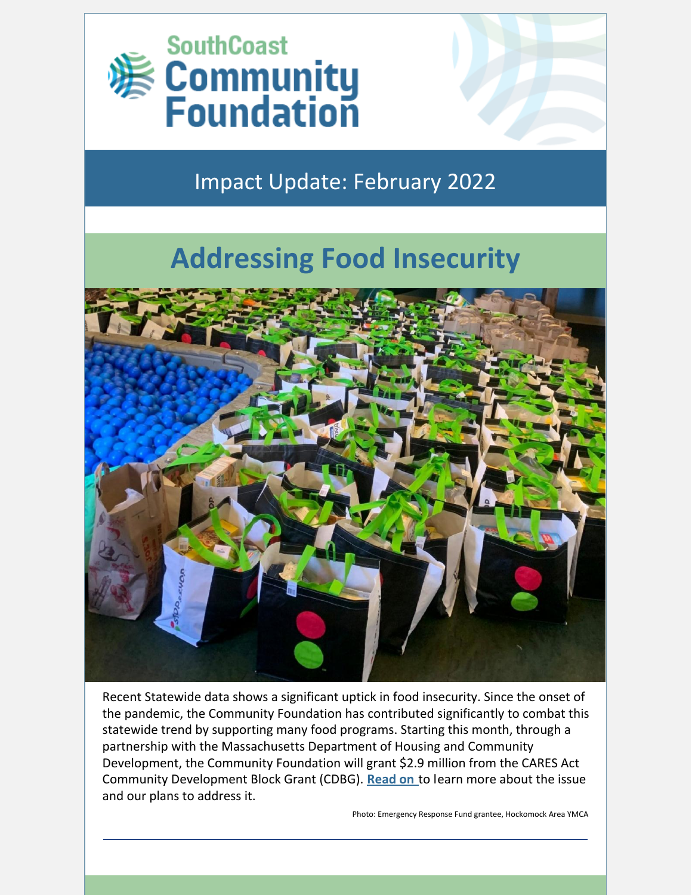

## Impact Update: February 2022

# **Addressing Food Insecurity**



Recent Statewide data shows a significant uptick in food insecurity. Since the onset of the pandemic, the Community Foundation has contributed significantly to combat this statewide trend by supporting many food programs. Starting this month, through a partnership with the Massachusetts Department of Housing and Community Development, the Community Foundation will grant \$2.9 million from the CARES Act Community Development Block Grant (CDBG). **[Read](https://bit.ly/3rpFP2q) on** to learn more about the issue and our plans to address it.

Photo: Emergency Response Fund grantee, Hockomock Area YMCA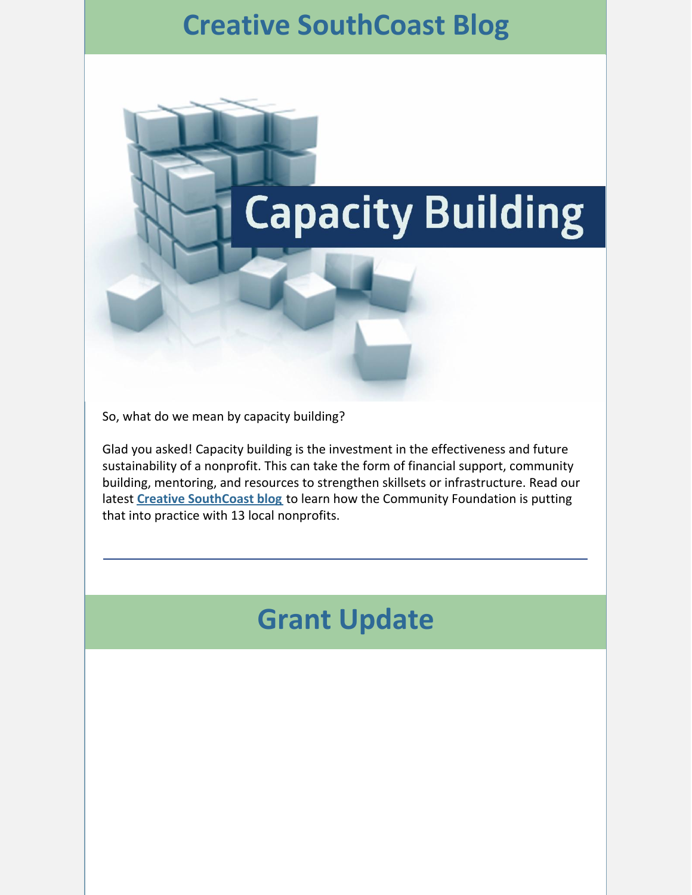# **Creative SouthCoast Blog**

# **Capacity Building**

So, what do we mean by capacity building?

Glad you asked! Capacity building is the investment in the effectiveness and future sustainability of a nonprofit. This can take the form of financial support, community building, mentoring, and resources to strengthen skillsets or infrastructure. Read our latest **Creative [SouthCoast](https://bit.ly/3on9gAu) blog** [t](https://bit.ly/3on9gAu)o learn how the Community Foundation is putting that into practice with 13 local nonprofits.

# **Grant Update**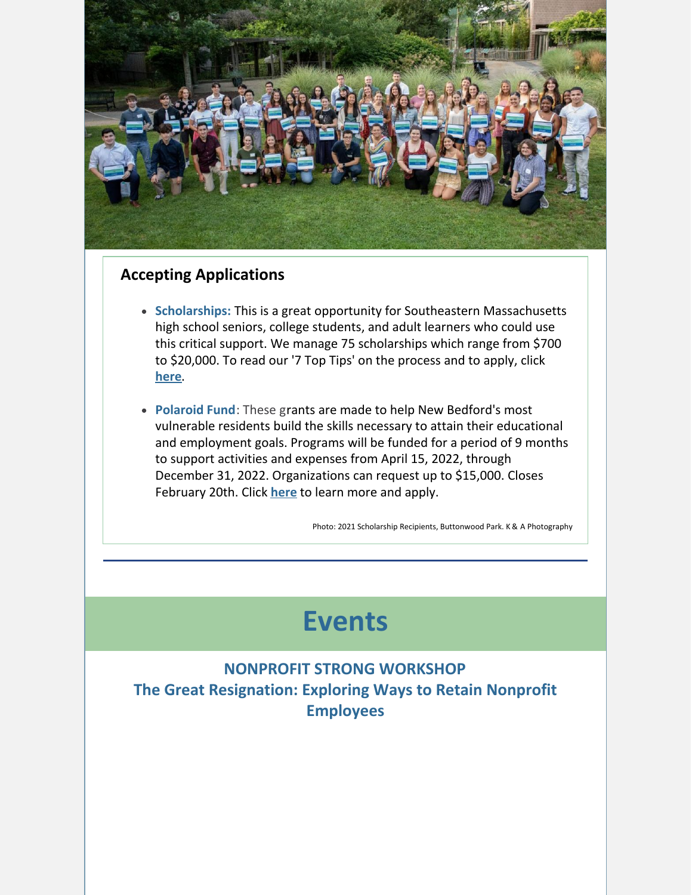

### **Accepting Applications**

- **Scholarships:** This is a great opportunity for Southeastern Massachusetts high school seniors, college students, and adult learners who could use this critical support. We manage 75 scholarships which range from \$700 to \$20,000. To read our '7 Top Tips' on the process and to apply, click **[here](https://bit.ly/3s2rAzU)**.
- **Polaroid Fund**: These grants are made to help New Bedford's most vulnerable residents build the skills necessary to attain their educational and employment goals. Programs will be funded for a period of 9 months to support activities and expenses from April 15, 2022, through December 31, 2022. Organizations can request up to \$15,000. Closes February 20th. Click **[here](https://www.grantinterface.com/Process/Apply?urlkey=cfsema)** to learn more and apply.

Photo: 2021 Scholarship Recipients, Buttonwood Park. K & A Photography

# **Events**

**NONPROFIT STRONG WORKSHOP The Great Resignation: Exploring Ways to Retain Nonprofit Employees**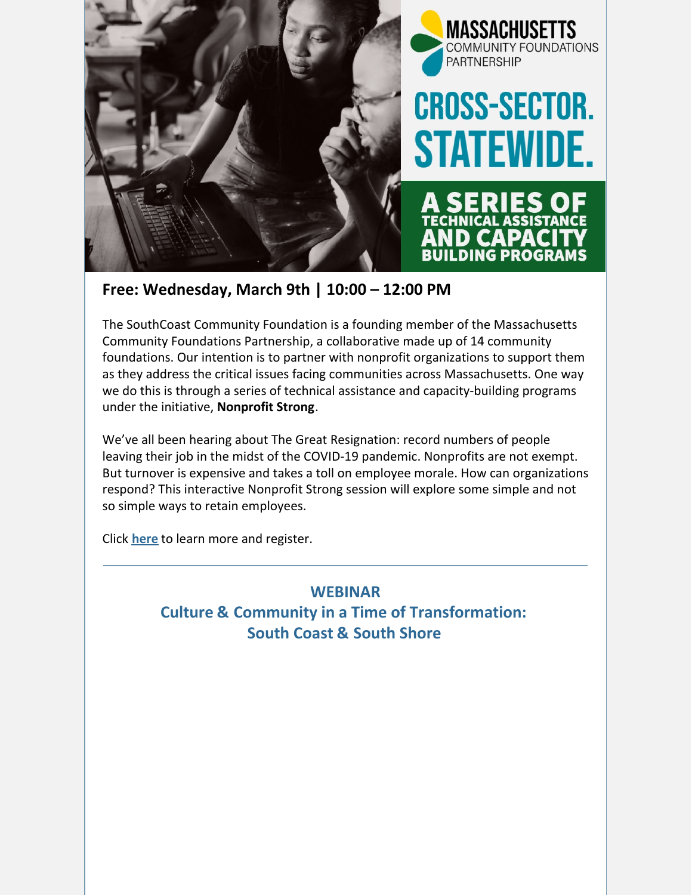

**Free: Wednesday, March 9th | 10:00 – 12:00 PM**

The SouthCoast Community Foundation is a founding member of the Massachusetts Community Foundations Partnership, a collaborative made up of 14 community foundations. Our intention is to partner with nonprofit organizations to support them as they address the critical issues facing communities across Massachusetts. One way we do this is through a series of technical assistance and capacity-building programs under the initiative, **Nonprofit Strong**.

We've all been hearing about The Great Resignation: record numbers of people leaving their job in the midst of the COVID-19 pandemic. Nonprofits are not exempt. But turnover is expensive and takes a toll on employee morale. How can organizations respond? This interactive Nonprofit Strong session will explore some simple and not so simple ways to retain employees.

Click **[here](https://us02web.zoom.us/meeting/register/tZwudeuppzwrH9dl11ryF4fDMpU3rYtWM8vw)** to learn more and register.

**WEBINAR Culture & Community in a Time of Transformation: South Coast & South Shore**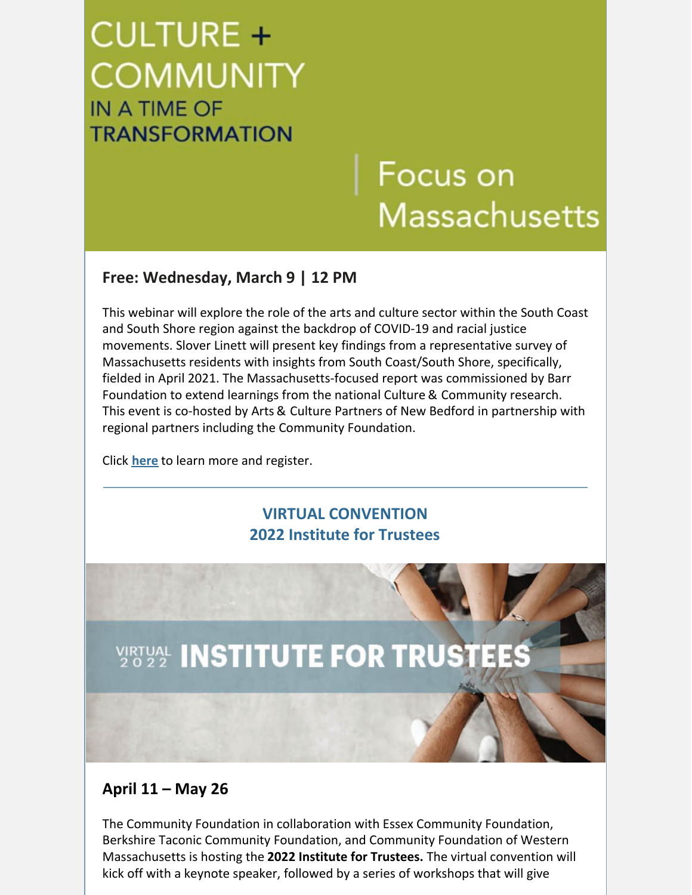# **CULTURE + COMMUNITY** IN A TIME OF **TRANSFORMATION**

# Focus on **Massachusetts**

### **Free: Wednesday, March 9 | 12 PM**

This webinar will explore the role of the arts and culture sector within the South Coast and South Shore region against the backdrop of COVID-19 and racial justice movements. Slover Linett will present key findings from a representative survey of Massachusetts residents with insights from South Coast/South Shore, specifically, fielded in April 2021. The Massachusetts-focused report was commissioned by Barr Foundation to extend learnings from the national Culture & Community research. This event is co-hosted by Arts & Culture Partners of New Bedford in partnership with regional partners including the Community Foundation.

Click **[here](https://www.eventbrite.com/e/culture-community-in-a-time-of-transformation-south-coast-south-shore-tickets-225441209727?utm-campaign=social&utm-content=attendeeshare&utm-medium=discovery&utm-term=listing&utm-source=cp&aff=escb)** to learn more and register.

### **VIRTUAL CONVENTION 2022 Institute for Trustees**



### **April 11 – May 26**

The Community Foundation in collaboration with Essex Community Foundation, Berkshire Taconic Community Foundation, and Community Foundation of Western Massachusetts is hosting the **2022 Institute for Trustees.** The virtual convention will kick off with a keynote speaker, followed by a series of workshops that will give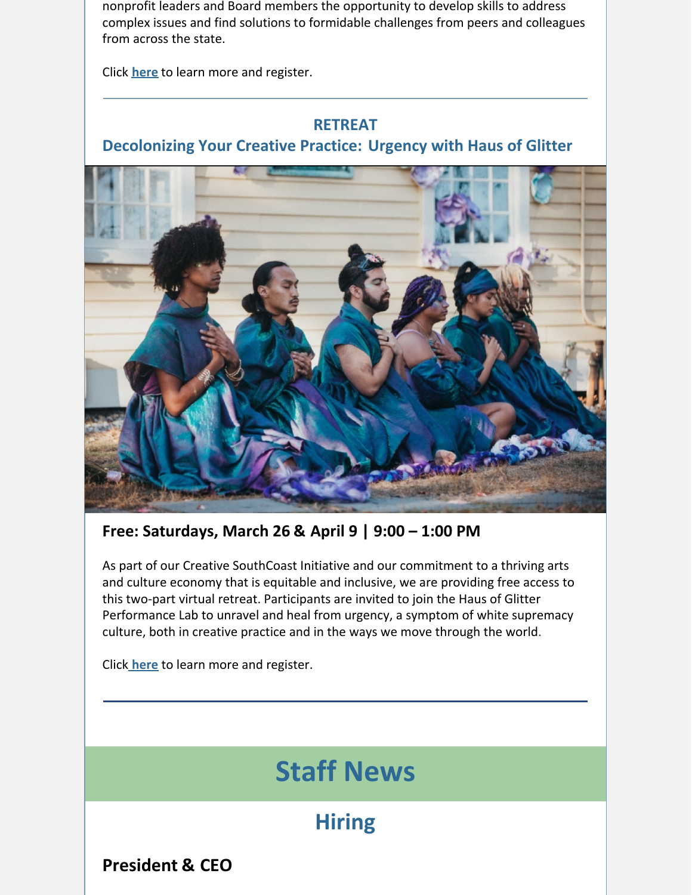nonprofit leaders and Board members the opportunity to develop skills to address complex issues and find solutions to formidable challenges from peers and colleagues from across the state.

Click **[here](https://bit.ly/3IYKTkr)** to learn more and register.

### **RETREAT**

**Decolonizing Your Creative Practice: Urgency with Haus of Glitter**



**Free: Saturdays, March 26 & April 9 | 9:00 – 1:00 PM**

As part of our Creative SouthCoast Initiative and our commitment to a thriving arts and culture economy that is equitable and inclusive, we are providing free access to this two-part virtual retreat. Participants are invited to join the Haus of Glitter Performance Lab to unravel and heal from urgency, a symptom of white supremacy culture, both in creative practice and in the ways we move through the world.

Clic[k](https://bit.ly/3qKFDdT) **[here](https://bit.ly/3qKFDdT)** to learn more and register.

# **Staff News**

## **Hiring**

**President & CEO**